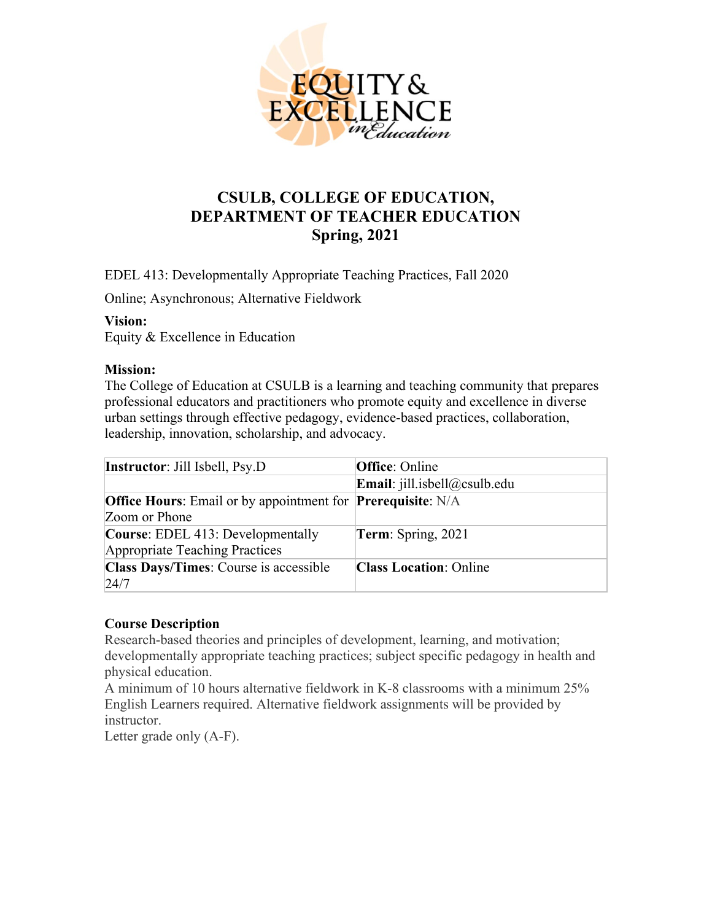

# **CSULB, COLLEGE OF EDUCATION, DEPARTMENT OF TEACHER EDUCATION Spring, 2021**

EDEL 413: Developmentally Appropriate Teaching Practices, Fall 2020

Online; Asynchronous; Alternative Fieldwork

#### **Vision:**

Equity & Excellence in Education

#### **Mission:**

The College of Education at CSULB is a learning and teaching community that prepares professional educators and practitioners who promote equity and excellence in diverse urban settings through effective pedagogy, evidence-based practices, collaboration, leadership, innovation, scholarship, and advocacy.

| <b>Instructor:</b> Jill Isbell, Psy.D                                     | <b>Office:</b> Online                   |
|---------------------------------------------------------------------------|-----------------------------------------|
|                                                                           | <b>Email</b> : $j$ ill.isbell@csulb.edu |
| <b>Office Hours:</b> Email or by appointment for <b>Prerequisite:</b> N/A |                                         |
| Zoom or Phone                                                             |                                         |
| <b>Course:</b> EDEL 413: Developmentally                                  | <b>Term:</b> Spring, 2021               |
| Appropriate Teaching Practices                                            |                                         |
| Class Days/Times: Course is accessible                                    | <b>Class Location: Online</b>           |
| 24/7                                                                      |                                         |

#### **Course Description**

Research-based theories and principles of development, learning, and motivation; developmentally appropriate teaching practices; subject specific pedagogy in health and physical education.

A minimum of 10 hours alternative fieldwork in K-8 classrooms with a minimum 25% English Learners required. Alternative fieldwork assignments will be provided by instructor.

Letter grade only (A-F).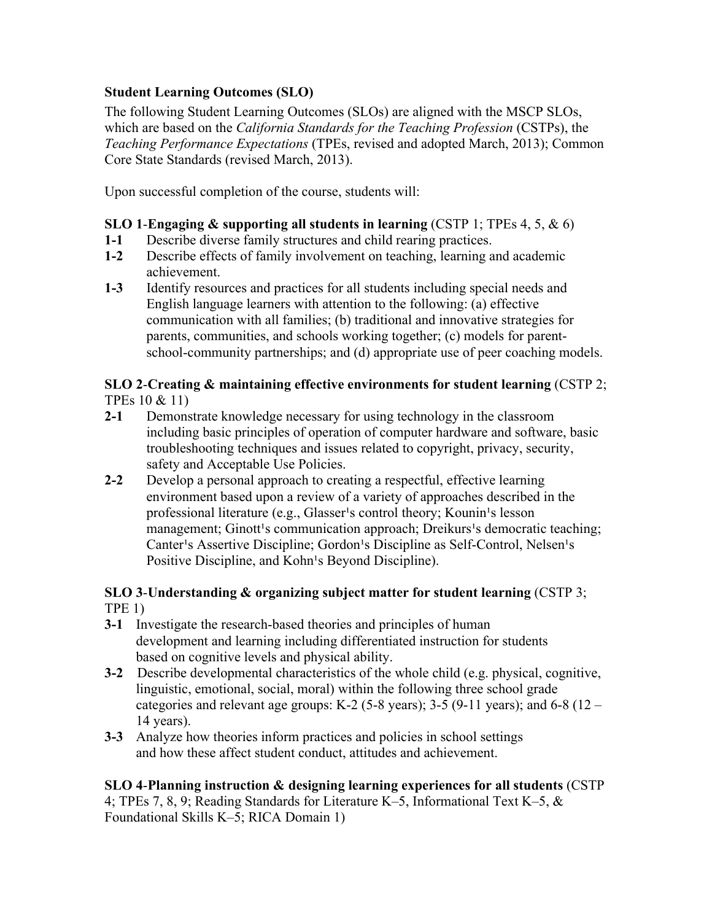# **Student Learning Outcomes (SLO)**

The following Student Learning Outcomes (SLOs) are aligned with the MSCP SLOs, which are based on the *California Standards for the Teaching Profession* (CSTPs), the *Teaching Performance Expectations* (TPEs, revised and adopted March, 2013); Common Core State Standards (revised March, 2013).

Upon successful completion of the course, students will:

# **SLO 1**-**Engaging & supporting all students in learning** (CSTP 1; TPEs 4, 5, & 6)

- **1-1** Describe diverse family structures and child rearing practices.
- **1-2** Describe effects of family involvement on teaching, learning and academic achievement.
- **1-3** Identify resources and practices for all students including special needs and English language learners with attention to the following: (a) effective communication with all families; (b) traditional and innovative strategies for parents, communities, and schools working together; (c) models for parentschool-community partnerships; and (d) appropriate use of peer coaching models.

# **SLO 2**-**Creating & maintaining effective environments for student learning** (CSTP 2; TPEs 10 & 11)

- **2-1** Demonstrate knowledge necessary for using technology in the classroom including basic principles of operation of computer hardware and software, basic troubleshooting techniques and issues related to copyright, privacy, security, safety and Acceptable Use Policies.
- **2-2** Develop a personal approach to creating a respectful, effective learning environment based upon a review of a variety of approaches described in the professional literature (e.g., Glasser's control theory; Kounin's lesson management; Ginott<sup>1</sup>s communication approach; Dreikurs<sup>1</sup>s democratic teaching; Canter's Assertive Discipline; Gordon's Discipline as Self-Control, Nelsen's Positive Discipline, and Kohn<sup>1</sup>s Beyond Discipline).

# **SLO 3**-**Understanding & organizing subject matter for student learning** (CSTP 3; TPE 1)

- **3-1** Investigate the research-based theories and principles of human development and learning including differentiated instruction for students based on cognitive levels and physical ability.
- **3-2** Describe developmental characteristics of the whole child (e.g. physical, cognitive, linguistic, emotional, social, moral) within the following three school grade categories and relevant age groups: K-2 (5-8 years); 3-5 (9-11 years); and 6-8 (12 – 14 years).
- **3-3** Analyze how theories inform practices and policies in school settings and how these affect student conduct, attitudes and achievement.

# **SLO 4**-**Planning instruction & designing learning experiences for all students** (CSTP

4; TPEs 7, 8, 9; Reading Standards for Literature K–5, Informational Text K–5, & Foundational Skills K–5; RICA Domain 1)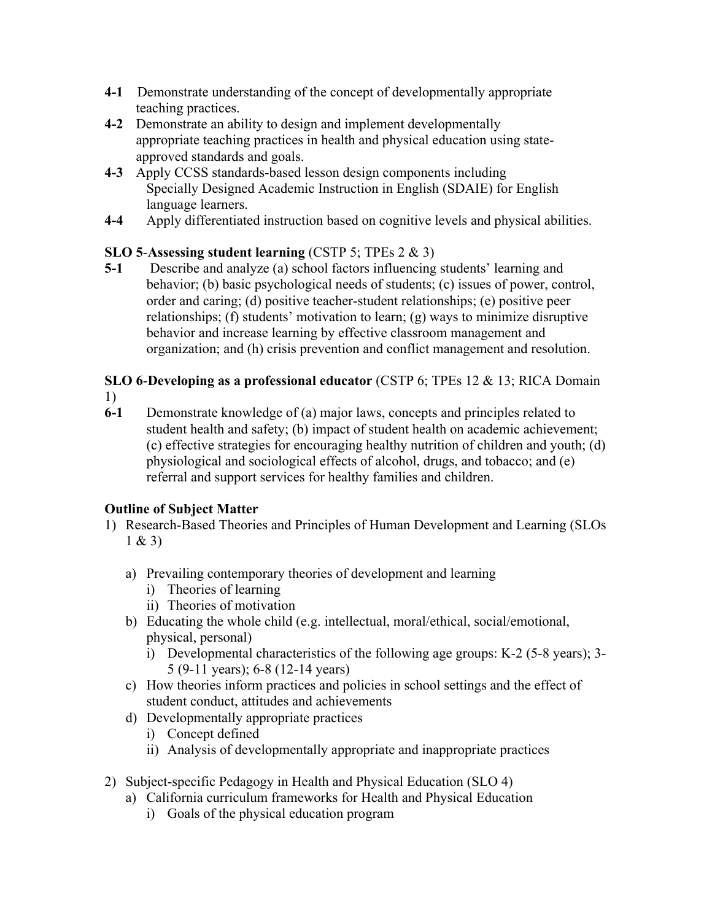- **4-1** Demonstrate understanding of the concept of developmentally appropriate teaching practices.
- **4-2** Demonstrate an ability to design and implement developmentally appropriate teaching practices in health and physical education using stateapproved standards and goals.
- **4-3** Apply CCSS standards-based lesson design components including Specially Designed Academic Instruction in English (SDAIE) for English language learners.
- **4-4** Apply differentiated instruction based on cognitive levels and physical abilities.

# **SLO 5**-**Assessing student learning** (CSTP 5; TPEs 2 & 3)

**5-1** Describe and analyze (a) school factors influencing students' learning and behavior; (b) basic psychological needs of students; (c) issues of power, control, order and caring; (d) positive teacher-student relationships; (e) positive peer relationships; (f) students' motivation to learn; (g) ways to minimize disruptive behavior and increase learning by effective classroom management and organization; and (h) crisis prevention and conflict management and resolution.

#### **SLO 6**-**Developing as a professional educator** (CSTP 6; TPEs 12 & 13; RICA Domain 1)

**6-1** Demonstrate knowledge of (a) major laws, concepts and principles related to student health and safety; (b) impact of student health on academic achievement; (c) effective strategies for encouraging healthy nutrition of children and youth; (d) physiological and sociological effects of alcohol, drugs, and tobacco; and (e) referral and support services for healthy families and children.

# **Outline of Subject Matter**

- 1) Research-Based Theories and Principles of Human Development and Learning (SLOs 1 & 3)
	- a) Prevailing contemporary theories of development and learning
		- i) Theories of learning
		- ii) Theories of motivation
	- b) Educating the whole child (e.g. intellectual, moral/ethical, social/emotional, physical, personal)
		- i) Developmental characteristics of the following age groups: K-2 (5-8 years); 3- 5 (9-11 years); 6-8 (12-14 years)
	- c) How theories inform practices and policies in school settings and the effect of student conduct, attitudes and achievements
	- d) Developmentally appropriate practices
		- i) Concept defined
		- ii) Analysis of developmentally appropriate and inappropriate practices
- 2) Subject-specific Pedagogy in Health and Physical Education (SLO 4)
	- a) California curriculum frameworks for Health and Physical Education
		- i) Goals of the physical education program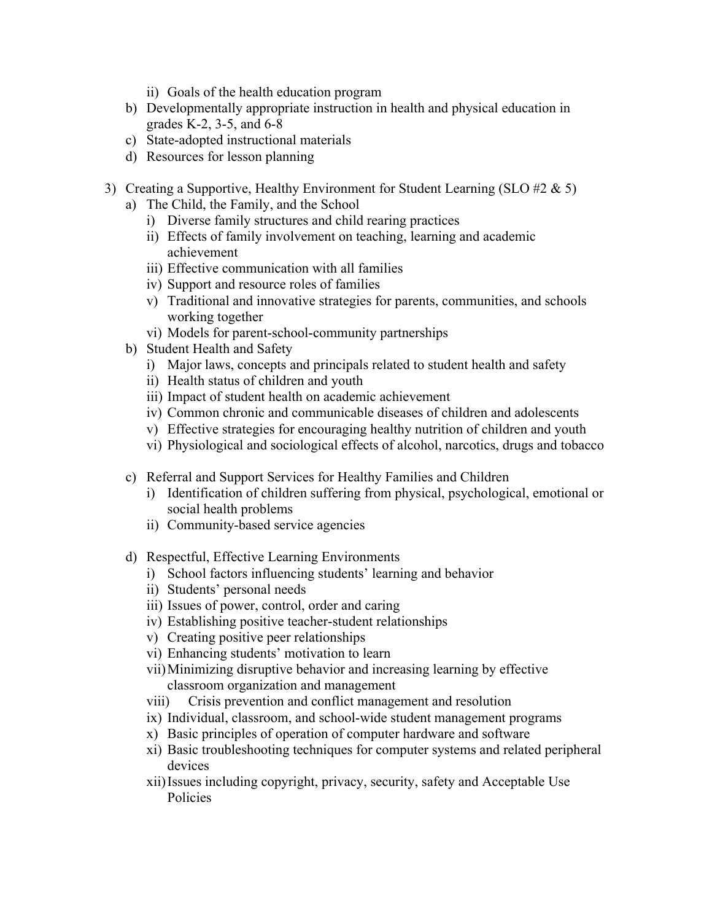- ii) Goals of the health education program
- b) Developmentally appropriate instruction in health and physical education in grades K-2, 3-5, and 6-8
- c) State-adopted instructional materials
- d) Resources for lesson planning
- 3) Creating a Supportive, Healthy Environment for Student Learning (SLO #2  $\&$  5)
	- a) The Child, the Family, and the School
		- i) Diverse family structures and child rearing practices
		- ii) Effects of family involvement on teaching, learning and academic achievement
		- iii) Effective communication with all families
		- iv) Support and resource roles of families
		- v) Traditional and innovative strategies for parents, communities, and schools working together
		- vi) Models for parent-school-community partnerships
	- b) Student Health and Safety
		- i) Major laws, concepts and principals related to student health and safety
		- ii) Health status of children and youth
		- iii) Impact of student health on academic achievement
		- iv) Common chronic and communicable diseases of children and adolescents
		- v) Effective strategies for encouraging healthy nutrition of children and youth
		- vi) Physiological and sociological effects of alcohol, narcotics, drugs and tobacco
	- c) Referral and Support Services for Healthy Families and Children
		- i) Identification of children suffering from physical, psychological, emotional or social health problems
		- ii) Community-based service agencies
	- d) Respectful, Effective Learning Environments
		- i) School factors influencing students' learning and behavior
		- ii) Students' personal needs
		- iii) Issues of power, control, order and caring
		- iv) Establishing positive teacher-student relationships
		- v) Creating positive peer relationships
		- vi) Enhancing students' motivation to learn
		- vii)Minimizing disruptive behavior and increasing learning by effective classroom organization and management
		- viii) Crisis prevention and conflict management and resolution
		- ix) Individual, classroom, and school-wide student management programs
		- x) Basic principles of operation of computer hardware and software
		- xi) Basic troubleshooting techniques for computer systems and related peripheral devices
		- xii)Issues including copyright, privacy, security, safety and Acceptable Use Policies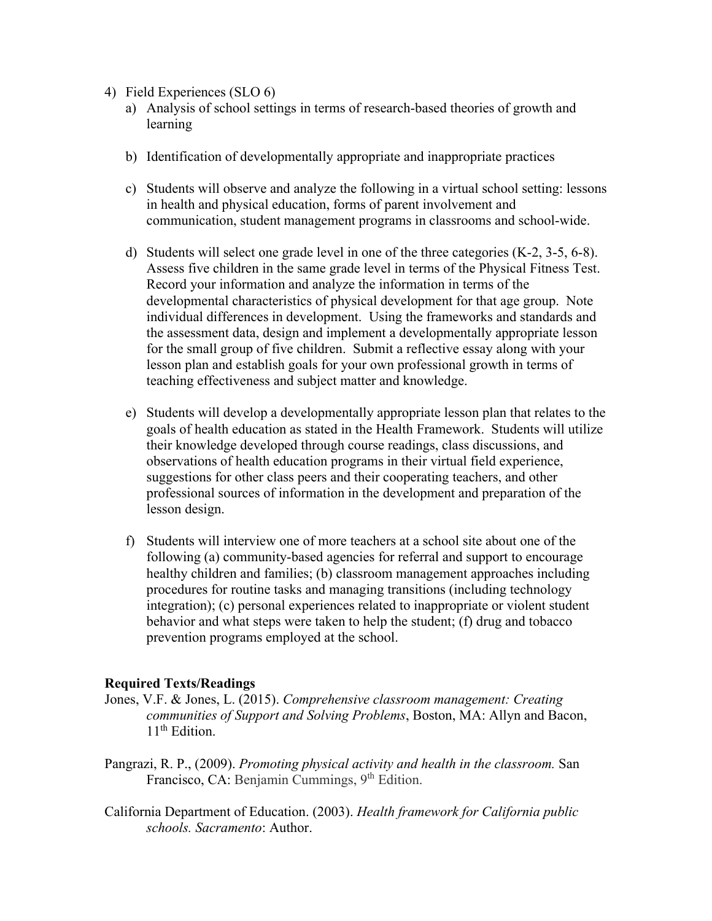- 4) Field Experiences (SLO 6)
	- a) Analysis of school settings in terms of research-based theories of growth and learning
	- b) Identification of developmentally appropriate and inappropriate practices
	- c) Students will observe and analyze the following in a virtual school setting: lessons in health and physical education, forms of parent involvement and communication, student management programs in classrooms and school-wide.
	- d) Students will select one grade level in one of the three categories (K-2, 3-5, 6-8). Assess five children in the same grade level in terms of the Physical Fitness Test. Record your information and analyze the information in terms of the developmental characteristics of physical development for that age group. Note individual differences in development. Using the frameworks and standards and the assessment data, design and implement a developmentally appropriate lesson for the small group of five children. Submit a reflective essay along with your lesson plan and establish goals for your own professional growth in terms of teaching effectiveness and subject matter and knowledge.
	- e) Students will develop a developmentally appropriate lesson plan that relates to the goals of health education as stated in the Health Framework. Students will utilize their knowledge developed through course readings, class discussions, and observations of health education programs in their virtual field experience, suggestions for other class peers and their cooperating teachers, and other professional sources of information in the development and preparation of the lesson design.
	- f) Students will interview one of more teachers at a school site about one of the following (a) community-based agencies for referral and support to encourage healthy children and families; (b) classroom management approaches including procedures for routine tasks and managing transitions (including technology integration); (c) personal experiences related to inappropriate or violent student behavior and what steps were taken to help the student; (f) drug and tobacco prevention programs employed at the school.

#### **Required Texts/Readings**

- Jones, V.F. & Jones, L. (2015). *Comprehensive classroom management: Creating communities of Support and Solving Problems*, Boston, MA: Allyn and Bacon,  $11<sup>th</sup>$  Edition.
- Pangrazi, R. P., (2009). *Promoting physical activity and health in the classroom.* San Francisco, CA: Benjamin Cummings, 9<sup>th</sup> Edition.
- California Department of Education. (2003). *Health framework for California public schools. Sacramento*: Author.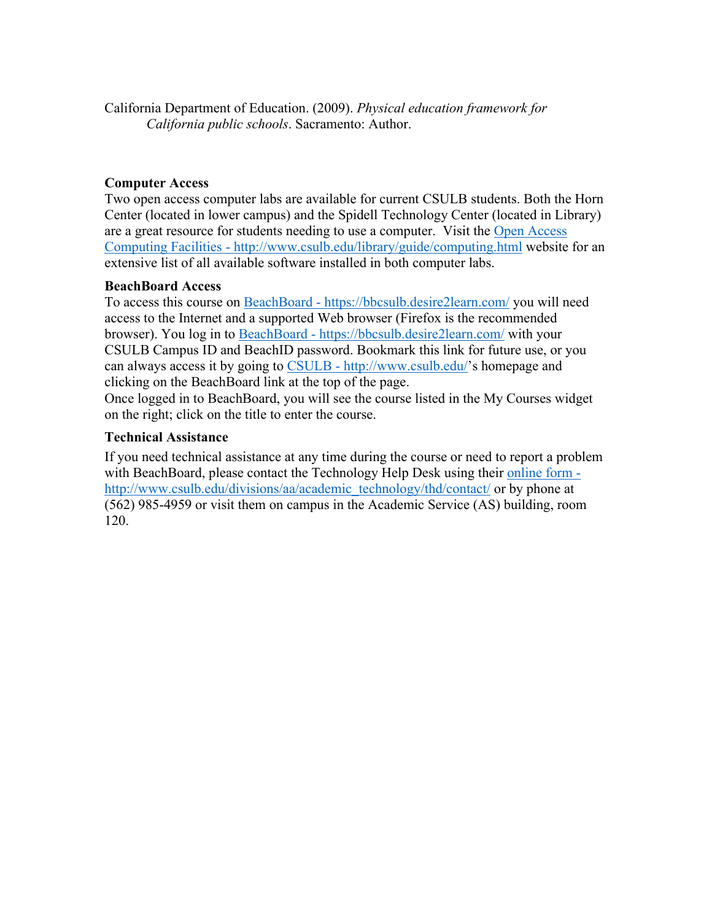California Department of Education. (2009). *Physical education framework for California public schools*. Sacramento: Author.

# **Computer Access**

Two open access computer labs are available for current CSULB students. Both the Horn Center (located in lower campus) and the Spidell Technology Center (located in Library) are a great resource for students needing to use a computer. Visit the Open Access Computing Facilities - http://www.csulb.edu/library/guide/computing.html website for an extensive list of all available software installed in both computer labs.

#### **BeachBoard Access**

To access this course on BeachBoard - https://bbcsulb.desire2learn.com/ you will need access to the Internet and a supported Web browser (Firefox is the recommended browser). You log in to BeachBoard - https://bbcsulb.desire2learn.com/ with your CSULB Campus ID and BeachID password. Bookmark this link for future use, or you can always access it by going to CSULB - http://www.csulb.edu/'s homepage and clicking on the BeachBoard link at the top of the page.

Once logged in to BeachBoard, you will see the course listed in the My Courses widget on the right; click on the title to enter the course.

# **Technical Assistance**

If you need technical assistance at any time during the course or need to report a problem with BeachBoard, please contact the Technology Help Desk using their online form http://www.csulb.edu/divisions/aa/academic\_technology/thd/contact/ or by phone at (562) 985-4959 or visit them on campus in the Academic Service (AS) building, room 120.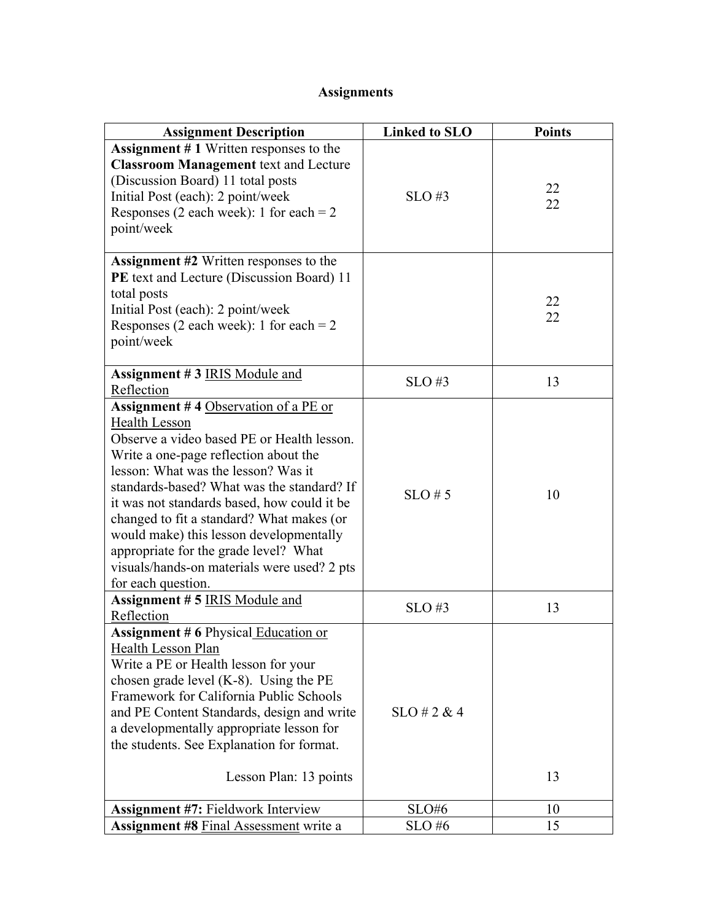# **Assignments**

| <b>Assignment Description</b>                                                                                                                                                                                                                                                                                                                                                                                                                                                                 | <b>Linked to SLO</b> | <b>Points</b> |
|-----------------------------------------------------------------------------------------------------------------------------------------------------------------------------------------------------------------------------------------------------------------------------------------------------------------------------------------------------------------------------------------------------------------------------------------------------------------------------------------------|----------------------|---------------|
| <b>Assignment</b> $# 1$ Written responses to the<br><b>Classroom Management text and Lecture</b><br>(Discussion Board) 11 total posts<br>Initial Post (each): 2 point/week<br>Responses (2 each week): 1 for each = $2$<br>point/week                                                                                                                                                                                                                                                         | $SLO$ #3             | 22<br>22      |
| Assignment #2 Written responses to the<br>PE text and Lecture (Discussion Board) 11<br>total posts<br>Initial Post (each): 2 point/week<br>Responses (2 each week): 1 for each = $2$<br>point/week                                                                                                                                                                                                                                                                                            |                      | 22<br>22      |
| <b>Assignment #3 IRIS Module and</b><br>Reflection                                                                                                                                                                                                                                                                                                                                                                                                                                            | $SLO$ #3             | 13            |
| Assignment #4 Observation of a PE or<br><b>Health Lesson</b><br>Observe a video based PE or Health lesson.<br>Write a one-page reflection about the<br>lesson: What was the lesson? Was it<br>standards-based? What was the standard? If<br>it was not standards based, how could it be<br>changed to fit a standard? What makes (or<br>would make) this lesson developmentally<br>appropriate for the grade level? What<br>visuals/hands-on materials were used? 2 pts<br>for each question. | $SLO \# 5$           | 10            |
| <b>Assignment #5 IRIS Module and</b><br>Reflection                                                                                                                                                                                                                                                                                                                                                                                                                                            | $SLO \#3$            | 13            |
| <b>Assignment #6 Physical Education or</b><br>Health Lesson Plan<br>Write a PE or Health lesson for your<br>chosen grade level $(K-8)$ . Using the PE<br>Framework for California Public Schools<br>and PE Content Standards, design and write<br>a developmentally appropriate lesson for<br>the students. See Explanation for format.<br>Lesson Plan: 13 points                                                                                                                             | $SLO \# 2 \& 4$      | 13            |
| <b>Assignment #7: Fieldwork Interview</b><br><b>Assignment #8 Final Assessment write a</b>                                                                                                                                                                                                                                                                                                                                                                                                    | SLO#6<br>SLO#6       | 10<br>15      |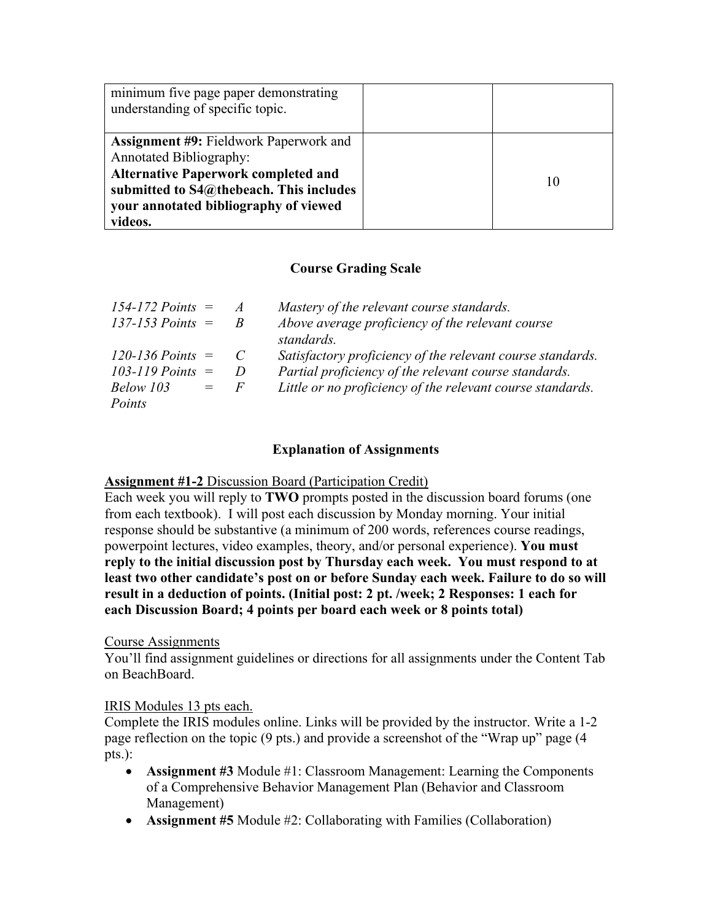| minimum five page paper demonstrating<br>understanding of specific topic.                                                                                                                                                    |    |
|------------------------------------------------------------------------------------------------------------------------------------------------------------------------------------------------------------------------------|----|
| <b>Assignment #9: Fieldwork Paperwork and</b><br><b>Annotated Bibliography:</b><br><b>Alternative Paperwork completed and</b><br>submitted to S4@thebeach. This includes<br>your annotated bibliography of viewed<br>videos. | 10 |

# **Course Grading Scale**

| $154 - 172$ Points $=$ |         | $\mathcal{A}$ | Mastery of the relevant course standards.                  |
|------------------------|---------|---------------|------------------------------------------------------------|
| $137 - 153$ Points $=$ |         |               | Above average proficiency of the relevant course           |
|                        |         |               | standards.                                                 |
| $120 - 136$ Points $=$ |         |               | Satisfactory proficiency of the relevant course standards. |
| 103-119 Points $=$     |         | D             | Partial proficiency of the relevant course standards.      |
| Below 103              | $=$ $-$ | F             | Little or no proficiency of the relevant course standards. |
| Points                 |         |               |                                                            |

# **Explanation of Assignments**

# **Assignment #1-2** Discussion Board (Participation Credit)

Each week you will reply to **TWO** prompts posted in the discussion board forums (one from each textbook). I will post each discussion by Monday morning. Your initial response should be substantive (a minimum of 200 words, references course readings, powerpoint lectures, video examples, theory, and/or personal experience). **You must reply to the initial discussion post by Thursday each week. You must respond to at least two other candidate's post on or before Sunday each week. Failure to do so will result in a deduction of points. (Initial post: 2 pt. /week; 2 Responses: 1 each for each Discussion Board; 4 points per board each week or 8 points total)**

#### Course Assignments

You'll find assignment guidelines or directions for all assignments under the Content Tab on BeachBoard.

#### IRIS Modules 13 pts each.

Complete the IRIS modules online. Links will be provided by the instructor. Write a 1-2 page reflection on the topic (9 pts.) and provide a screenshot of the "Wrap up" page (4 pts.):

- **Assignment #3** Module #1: Classroom Management: Learning the Components of a Comprehensive Behavior Management Plan (Behavior and Classroom Management)
- **Assignment #5** Module #2: Collaborating with Families (Collaboration)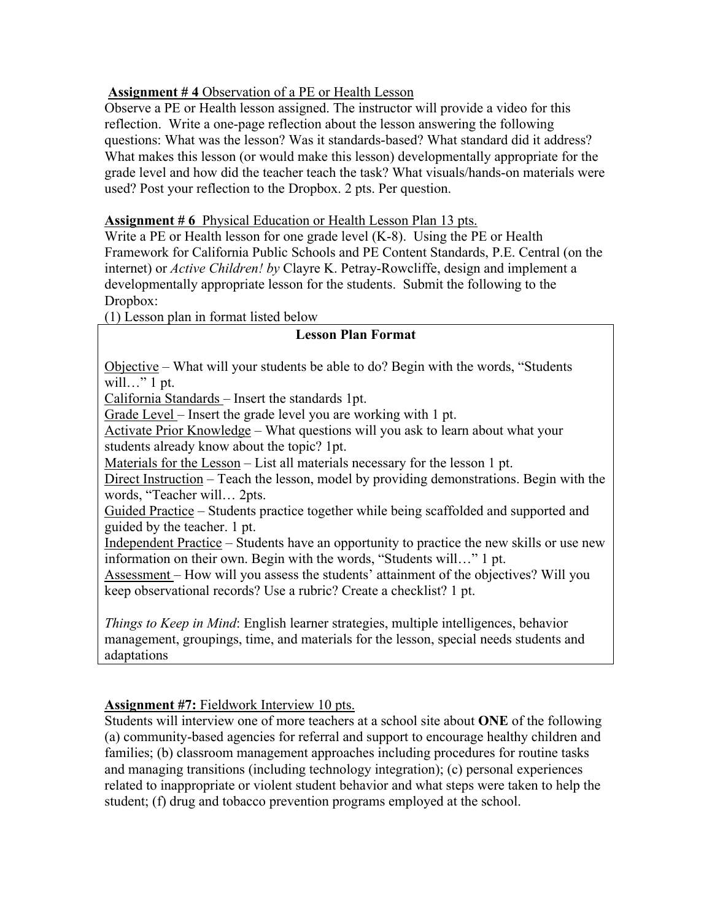# **Assignment # 4** Observation of a PE or Health Lesson

Observe a PE or Health lesson assigned. The instructor will provide a video for this reflection. Write a one-page reflection about the lesson answering the following questions: What was the lesson? Was it standards-based? What standard did it address? What makes this lesson (or would make this lesson) developmentally appropriate for the grade level and how did the teacher teach the task? What visuals/hands-on materials were used? Post your reflection to the Dropbox. 2 pts. Per question.

# **Assignment # 6** Physical Education or Health Lesson Plan 13 pts.

Write a PE or Health lesson for one grade level (K-8). Using the PE or Health Framework for California Public Schools and PE Content Standards, P.E. Central (on the internet) or *Active Children! by* Clayre K. Petray-Rowcliffe, design and implement a developmentally appropriate lesson for the students. Submit the following to the Dropbox:

(1) Lesson plan in format listed below

# **Lesson Plan Format**

Objective – What will your students be able to do? Begin with the words, "Students will..." 1 pt.

California Standards – Insert the standards 1pt.

Grade Level – Insert the grade level you are working with 1 pt.

Activate Prior Knowledge – What questions will you ask to learn about what your students already know about the topic? 1pt.

Materials for the Lesson – List all materials necessary for the lesson 1 pt.

Direct Instruction – Teach the lesson, model by providing demonstrations. Begin with the words, "Teacher will… 2pts.

Guided Practice – Students practice together while being scaffolded and supported and guided by the teacher. 1 pt.

Independent Practice – Students have an opportunity to practice the new skills or use new information on their own. Begin with the words, "Students will…" 1 pt.

Assessment – How will you assess the students' attainment of the objectives? Will you keep observational records? Use a rubric? Create a checklist? 1 pt.

*Things to Keep in Mind*: English learner strategies, multiple intelligences, behavior management, groupings, time, and materials for the lesson, special needs students and adaptations

# **Assignment #7:** Fieldwork Interview 10 pts.

Students will interview one of more teachers at a school site about **ONE** of the following (a) community-based agencies for referral and support to encourage healthy children and families; (b) classroom management approaches including procedures for routine tasks and managing transitions (including technology integration); (c) personal experiences related to inappropriate or violent student behavior and what steps were taken to help the student; (f) drug and tobacco prevention programs employed at the school.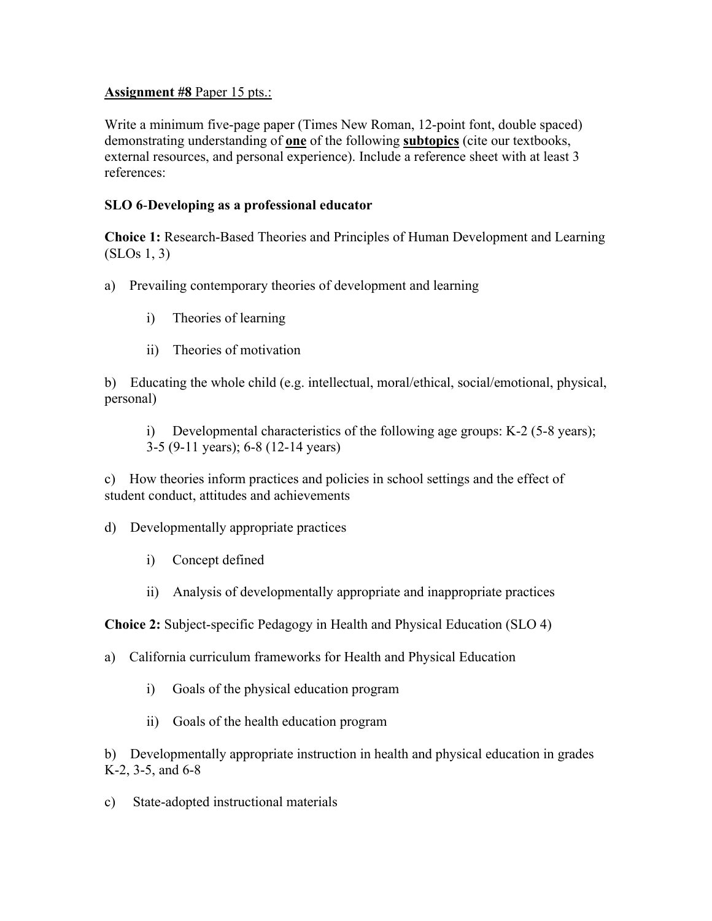#### **Assignment #8** Paper 15 pts.:

Write a minimum five-page paper (Times New Roman, 12-point font, double spaced) demonstrating understanding of **one** of the following **subtopics** (cite our textbooks, external resources, and personal experience). Include a reference sheet with at least 3 references:

# **SLO 6**-**Developing as a professional educator**

**Choice 1:** Research-Based Theories and Principles of Human Development and Learning (SLOs 1, 3)

a) Prevailing contemporary theories of development and learning

- i) Theories of learning
- ii) Theories of motivation

b) Educating the whole child (e.g. intellectual, moral/ethical, social/emotional, physical, personal)

i) Developmental characteristics of the following age groups: K-2 (5-8 years); 3-5 (9-11 years); 6-8 (12-14 years)

c) How theories inform practices and policies in school settings and the effect of student conduct, attitudes and achievements

d) Developmentally appropriate practices

- i) Concept defined
- ii) Analysis of developmentally appropriate and inappropriate practices

**Choice 2:** Subject-specific Pedagogy in Health and Physical Education (SLO 4)

a) California curriculum frameworks for Health and Physical Education

- i) Goals of the physical education program
- ii) Goals of the health education program

b) Developmentally appropriate instruction in health and physical education in grades K-2, 3-5, and 6-8

c) State-adopted instructional materials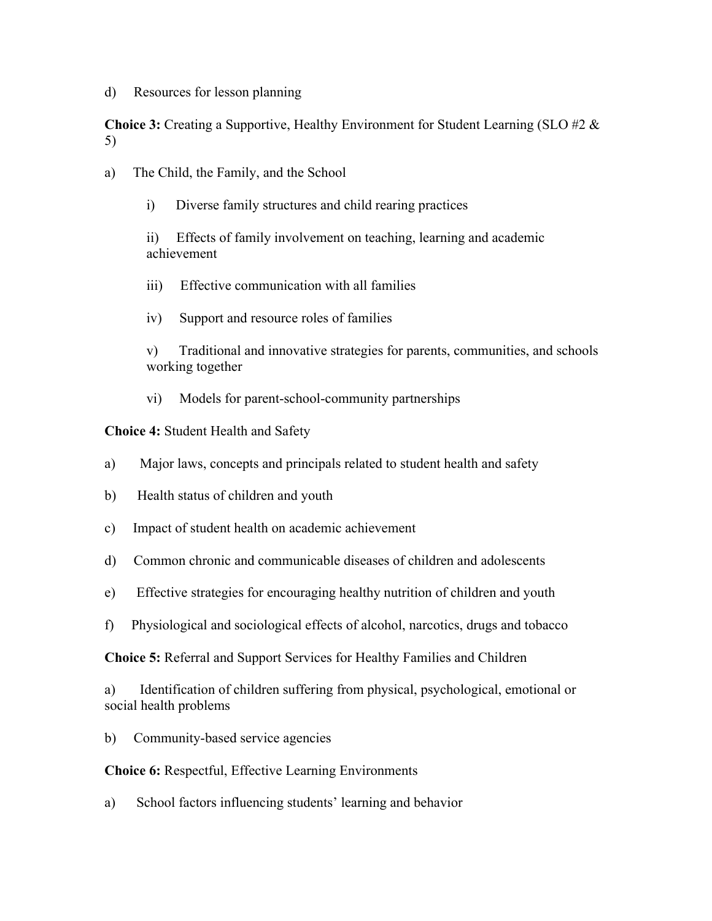d) Resources for lesson planning

**Choice 3:** Creating a Supportive, Healthy Environment for Student Learning (SLO #2 & 5)

- a) The Child, the Family, and the School
	- i) Diverse family structures and child rearing practices

ii) Effects of family involvement on teaching, learning and academic achievement

- iii) Effective communication with all families
- iv) Support and resource roles of families

v) Traditional and innovative strategies for parents, communities, and schools working together

vi) Models for parent-school-community partnerships

#### **Choice 4:** Student Health and Safety

- a) Major laws, concepts and principals related to student health and safety
- b) Health status of children and youth
- c) Impact of student health on academic achievement
- d) Common chronic and communicable diseases of children and adolescents
- e) Effective strategies for encouraging healthy nutrition of children and youth
- f) Physiological and sociological effects of alcohol, narcotics, drugs and tobacco

**Choice 5:** Referral and Support Services for Healthy Families and Children

a) Identification of children suffering from physical, psychological, emotional or social health problems

b) Community-based service agencies

#### **Choice 6:** Respectful, Effective Learning Environments

a) School factors influencing students' learning and behavior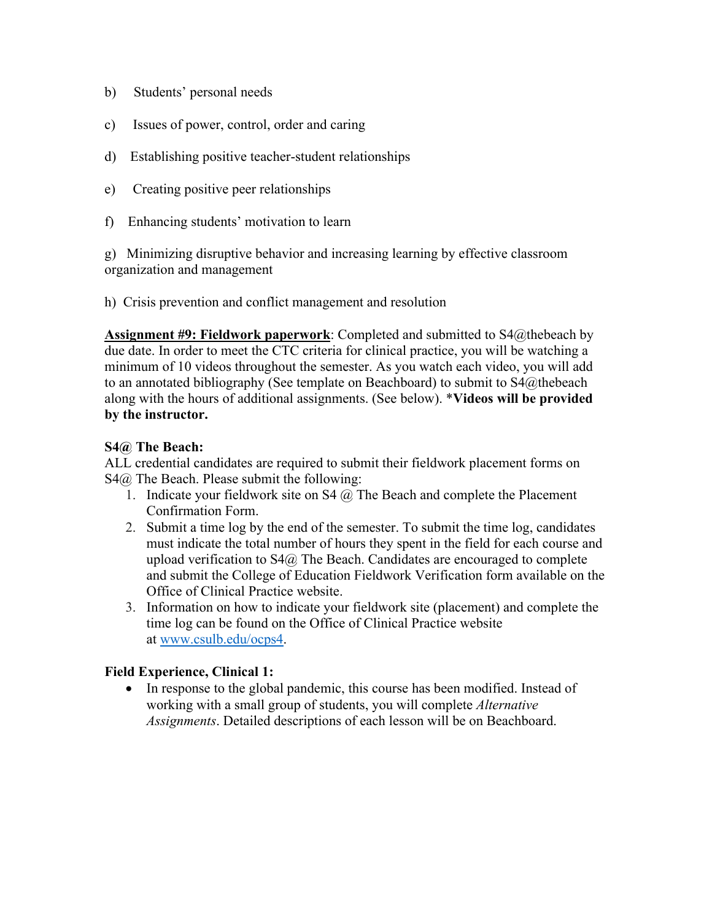- b) Students' personal needs
- c) Issues of power, control, order and caring
- d) Establishing positive teacher-student relationships
- e) Creating positive peer relationships
- f) Enhancing students' motivation to learn

g) Minimizing disruptive behavior and increasing learning by effective classroom organization and management

h) Crisis prevention and conflict management and resolution

**Assignment #9: Fieldwork paperwork**: Completed and submitted to S4@thebeach by due date. In order to meet the CTC criteria for clinical practice, you will be watching a minimum of 10 videos throughout the semester. As you watch each video, you will add to an annotated bibliography (See template on Beachboard) to submit to S4@thebeach along with the hours of additional assignments. (See below). \***Videos will be provided by the instructor.**

#### **S4@ The Beach:**

ALL credential candidates are required to submit their fieldwork placement forms on S4@ The Beach. Please submit the following:

- 1. Indicate your fieldwork site on  $S4$   $\omega$ . The Beach and complete the Placement Confirmation Form.
- 2. Submit a time log by the end of the semester. To submit the time log, candidates must indicate the total number of hours they spent in the field for each course and upload verification to  $S4@$  The Beach. Candidates are encouraged to complete and submit the College of Education Fieldwork Verification form available on the Office of Clinical Practice website.
- 3. Information on how to indicate your fieldwork site (placement) and complete the time log can be found on the Office of Clinical Practice website at [www.csulb.edu/ocps4.](http://www.csulb.edu/ocps4)

# **Field Experience, Clinical 1:**

• In response to the global pandemic, this course has been modified. Instead of working with a small group of students, you will complete *Alternative Assignments*. Detailed descriptions of each lesson will be on Beachboard.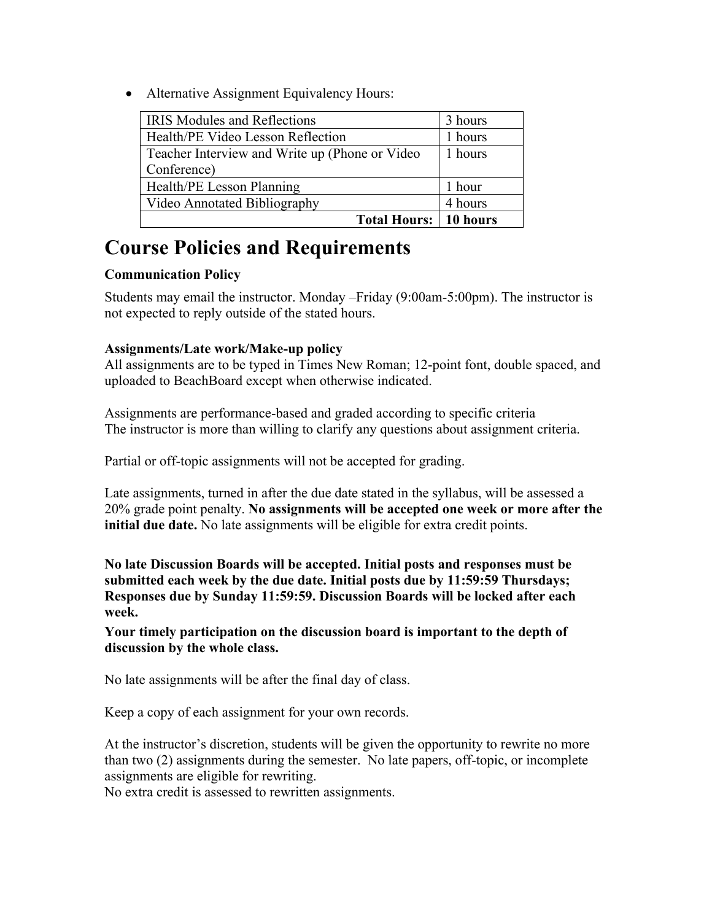• Alternative Assignment Equivalency Hours:

| <b>IRIS Modules and Reflections</b>            | 3 hours |
|------------------------------------------------|---------|
| Health/PE Video Lesson Reflection              | 1 hours |
| Teacher Interview and Write up (Phone or Video | 1 hours |
| Conference)                                    |         |
| Health/PE Lesson Planning                      | 1 hour  |
| Video Annotated Bibliography                   | 4 hours |
| <b>Total Hours: 10 hours</b>                   |         |

# **Course Policies and Requirements**

# **Communication Policy**

Students may email the instructor. Monday –Friday (9:00am-5:00pm). The instructor is not expected to reply outside of the stated hours.

# **Assignments/Late work/Make-up policy**

All assignments are to be typed in Times New Roman; 12-point font, double spaced, and uploaded to BeachBoard except when otherwise indicated.

Assignments are performance-based and graded according to specific criteria The instructor is more than willing to clarify any questions about assignment criteria.

Partial or off-topic assignments will not be accepted for grading.

Late assignments, turned in after the due date stated in the syllabus, will be assessed a 20% grade point penalty. **No assignments will be accepted one week or more after the initial due date.** No late assignments will be eligible for extra credit points.

**No late Discussion Boards will be accepted. Initial posts and responses must be submitted each week by the due date. Initial posts due by 11:59:59 Thursdays; Responses due by Sunday 11:59:59. Discussion Boards will be locked after each week.** 

**Your timely participation on the discussion board is important to the depth of discussion by the whole class.** 

No late assignments will be after the final day of class.

Keep a copy of each assignment for your own records.

At the instructor's discretion, students will be given the opportunity to rewrite no more than two (2) assignments during the semester. No late papers, off-topic, or incomplete assignments are eligible for rewriting.

No extra credit is assessed to rewritten assignments.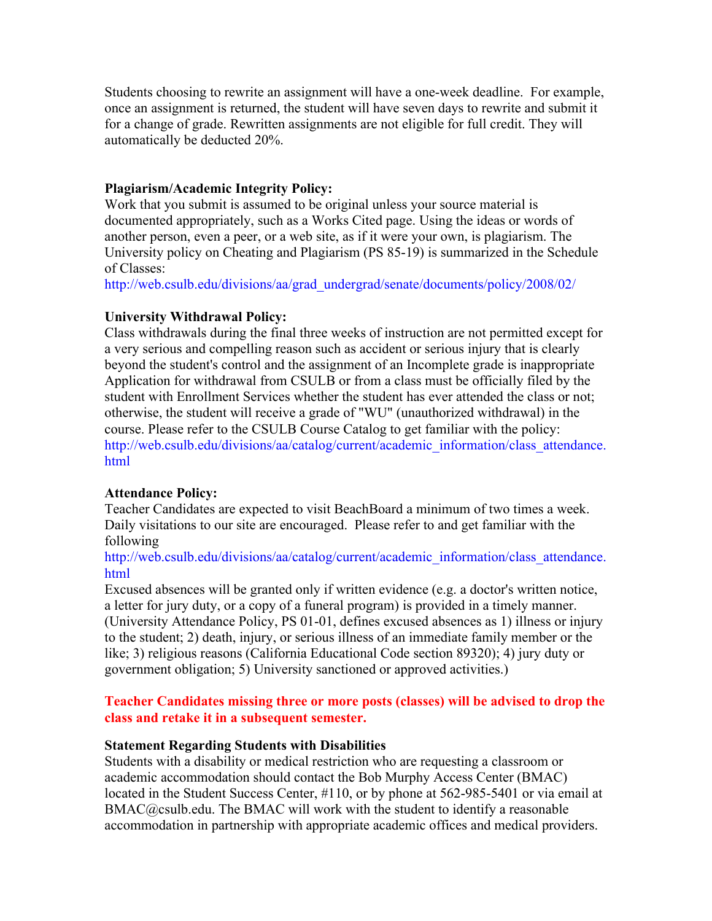Students choosing to rewrite an assignment will have a one-week deadline. For example, once an assignment is returned, the student will have seven days to rewrite and submit it for a change of grade. Rewritten assignments are not eligible for full credit. They will automatically be deducted 20%.

#### **Plagiarism/Academic Integrity Policy:**

Work that you submit is assumed to be original unless your source material is documented appropriately, such as a Works Cited page. Using the ideas or words of another person, even a peer, or a web site, as if it were your own, is plagiarism. The University policy on Cheating and Plagiarism (PS 85-19) is summarized in the Schedule of Classes:

[http://web.csulb.edu/divisions/aa/grad\\_undergrad/senate/documents/policy/2008/02/](http://web.csulb.edu/divisions/aa/grad_undergrad/senate/documents/policy/2008/02/)

#### **University Withdrawal Policy:**

Class withdrawals during the final three weeks of instruction are not permitted except for a very serious and compelling reason such as accident or serious injury that is clearly beyond the student's control and the assignment of an Incomplete grade is inappropriate Application for withdrawal from CSULB or from a class must be officially filed by the student with Enrollment Services whether the student has ever attended the class or not; otherwise, the student will receive a grade of "WU" (unauthorized withdrawal) in the course. Please refer to the CSULB Course Catalog to get familiar with the policy: [http://web.csulb.edu/divisions/aa/catalog/current/academic\\_information/class\\_attendance.](http://www.csulb.edu/divisions/aa/catalog/current/academic_regulations/withdrawal_policy.html#http://web.csulb.edu/divisions/aa/catalog/current/academic_information/class_attendance.html) [html](http://www.csulb.edu/divisions/aa/catalog/current/academic_regulations/withdrawal_policy.html#http://web.csulb.edu/divisions/aa/catalog/current/academic_information/class_attendance.html)

#### **Attendance Policy:**

Teacher Candidates are expected to visit BeachBoard a minimum of two times a week. Daily visitations to our site are encouraged. Please refer to and get familiar with the following

#### [http://web.csulb.edu/divisions/aa/catalog/current/academic\\_information/class\\_attendance.](https://mail.csulb.edu/owa/redir.aspx?C=yInuPJz7skStABOHcocy3SvzCSncrNIIG3PEm04769DKA2ZBK1YQj5PmzJvGSEQRG6mSXVXOtwk.&URL=http%3a%2f%2fweb.csulb.edu%2fdivisions%2faa%2fcatalog%2fcurrent%2facademic_information%2fclass_attendance.html) [html](https://mail.csulb.edu/owa/redir.aspx?C=yInuPJz7skStABOHcocy3SvzCSncrNIIG3PEm04769DKA2ZBK1YQj5PmzJvGSEQRG6mSXVXOtwk.&URL=http%3a%2f%2fweb.csulb.edu%2fdivisions%2faa%2fcatalog%2fcurrent%2facademic_information%2fclass_attendance.html)

Excused absences will be granted only if written evidence (e.g. a doctor's written notice, a letter for jury duty, or a copy of a funeral program) is provided in a timely manner. (University Attendance Policy, PS 01-01, defines excused absences as 1) illness or injury to the student; 2) death, injury, or serious illness of an immediate family member or the like; 3) religious reasons (California Educational Code section 89320); 4) jury duty or government obligation; 5) University sanctioned or approved activities.)

#### **Teacher Candidates missing three or more posts (classes) will be advised to drop the class and retake it in a subsequent semester.**

#### **Statement Regarding Students with Disabilities**

Students with a disability or medical restriction who are requesting a classroom or academic accommodation should contact the Bob Murphy Access Center (BMAC) located in the Student Success Center, #110, or by phone at 562-985-5401 or via email at  $BMAC@csub.edu$ . The BMAC will work with the student to identify a reasonable accommodation in partnership with appropriate academic offices and medical providers.